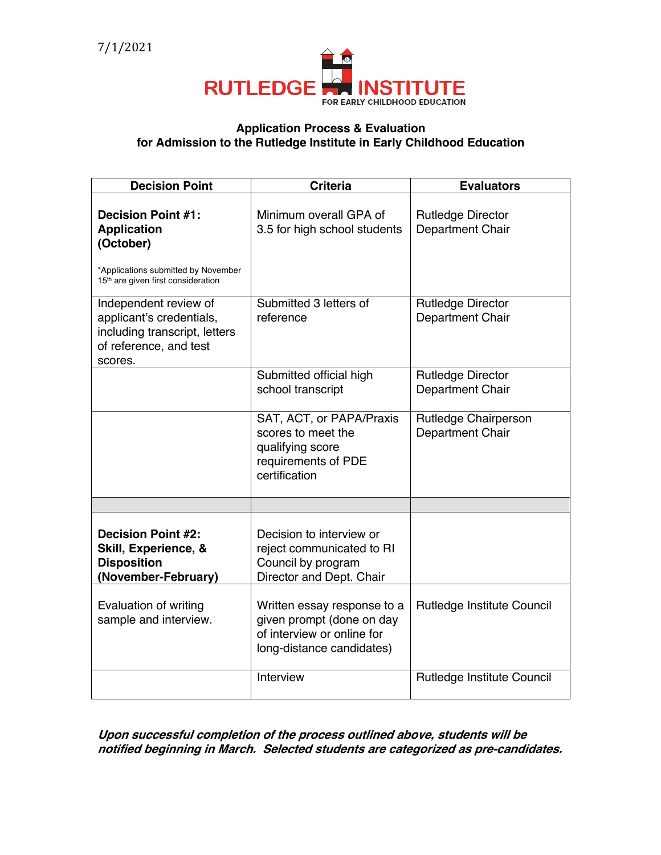

## **Application Process & Evaluation for Admission to the Rutledge Institute in Early Childhood Education**

| <b>Decision Point</b>                                                                                                   | <b>Criteria</b>                                                                                                     | <b>Evaluators</b>                            |
|-------------------------------------------------------------------------------------------------------------------------|---------------------------------------------------------------------------------------------------------------------|----------------------------------------------|
| <b>Decision Point #1:</b><br><b>Application</b><br>(October)<br>*Applications submitted by November                     | Minimum overall GPA of<br>3.5 for high school students                                                              | <b>Rutledge Director</b><br>Department Chair |
| 15 <sup>th</sup> are given first consideration                                                                          |                                                                                                                     |                                              |
| Independent review of<br>applicant's credentials,<br>including transcript, letters<br>of reference, and test<br>scores. | Submitted 3 letters of<br>reference                                                                                 | <b>Rutledge Director</b><br>Department Chair |
|                                                                                                                         | Submitted official high<br>school transcript                                                                        | <b>Rutledge Director</b><br>Department Chair |
|                                                                                                                         | SAT, ACT, or PAPA/Praxis<br>scores to meet the<br>qualifying score<br>requirements of PDE<br>certification          | Rutledge Chairperson<br>Department Chair     |
|                                                                                                                         |                                                                                                                     |                                              |
| <b>Decision Point #2:</b><br>Skill, Experience, &<br><b>Disposition</b><br>(November-February)                          | Decision to interview or<br>reject communicated to RI<br>Council by program<br>Director and Dept. Chair             |                                              |
| Evaluation of writing<br>sample and interview.                                                                          | Written essay response to a<br>given prompt (done on day<br>of interview or online for<br>long-distance candidates) | Rutledge Institute Council                   |
|                                                                                                                         | Interview                                                                                                           | Rutledge Institute Council                   |

**Upon successful completion of the process outlined above, students will be notified beginning in March. Selected students are categorized as pre-candidates.**